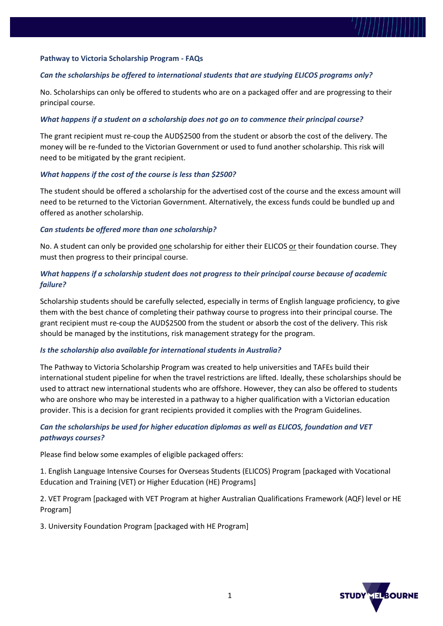

## *Can the scholarships be offered to international students that are studying ELICOS programs only?*

No. Scholarships can only be offered to students who are on a packaged offer and are progressing to their principal course.

#### *What happens if a student on a scholarship does not go on to commence their principal course?*

The grant recipient must re-coup the AUD\$2500 from the student or absorb the cost of the delivery. The money will be re-funded to the Victorian Government or used to fund another scholarship. This risk will need to be mitigated by the grant recipient.

#### *What happens if the cost of the course is less than \$2500?*

The student should be offered a scholarship for the advertised cost of the course and the excess amount will need to be returned to the Victorian Government. Alternatively, the excess funds could be bundled up and offered as another scholarship.

#### *Can students be offered more than one scholarship?*

No. A student can only be provided <u>one</u> scholarship for either their ELICOS or their foundation course. They must then progress to their principal course.

## *What happens if a scholarship student does not progress to their principal course because of academic failure?*

Scholarship students should be carefully selected, especially in terms of English language proficiency, to give them with the best chance of completing their pathway course to progress into their principal course. The grant recipient must re-coup the AUD\$2500 from the student or absorb the cost of the delivery. This risk should be managed by the institutions, risk management strategy for the program.

### *Is the scholarship also available for international students in Australia?*

The Pathway to Victoria Scholarship Program was created to help universities and TAFEs build their international student pipeline for when the travel restrictions are lifted. Ideally, these scholarships should be used to attract new international students who are offshore. However, they can also be offered to students who are onshore who may be interested in a pathway to a higher qualification with a Victorian education provider. This is a decision for grant recipients provided it complies with the Program Guidelines.

## *Can the scholarships be used for higher education diplomas as well as ELICOS, foundation and VET pathways courses?*

Please find below some examples of eligible packaged offers:

1. English Language Intensive Courses for Overseas Students (ELICOS) Program [packaged with Vocational Education and Training (VET) or Higher Education (HE) Programs]

2. VET Program [packaged with VET Program at higher Australian Qualifications Framework (AQF) level or HE Program]

3. University Foundation Program [packaged with HE Program]